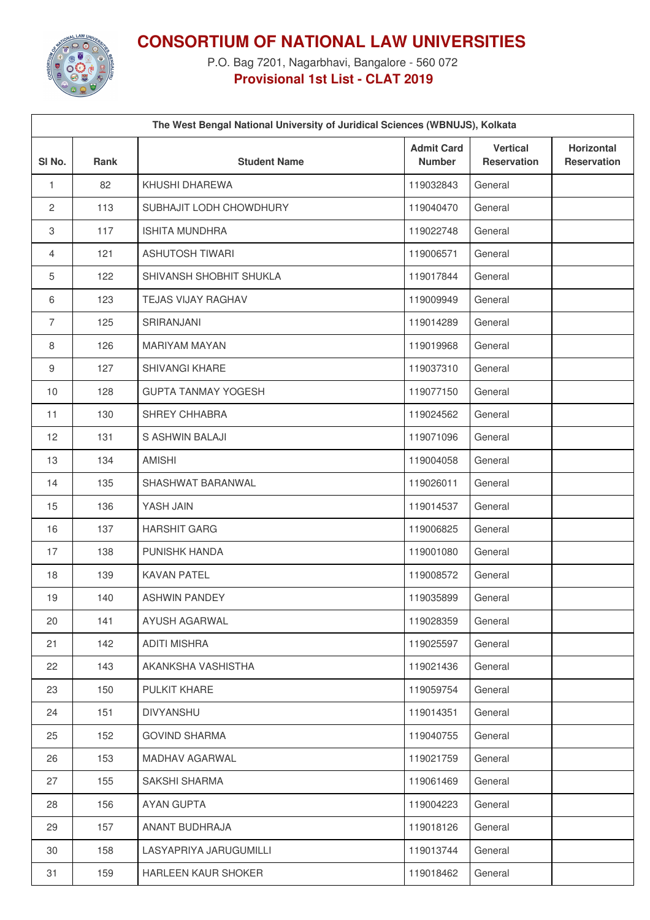

**CONSORTIUM OF NATIONAL LAW UNIVERSITIES**

P.O. Bag 7201, Nagarbhavi, Bangalore - 560 072 **Provisional 1st List - CLAT 2019**

|                   | The West Bengal National University of Juridical Sciences (WBNUJS), Kolkata |                            |                                    |                                       |                                         |  |
|-------------------|-----------------------------------------------------------------------------|----------------------------|------------------------------------|---------------------------------------|-----------------------------------------|--|
| SI <sub>No.</sub> | <b>Rank</b>                                                                 | <b>Student Name</b>        | <b>Admit Card</b><br><b>Number</b> | <b>Vertical</b><br><b>Reservation</b> | <b>Horizontal</b><br><b>Reservation</b> |  |
| $\mathbf{1}$      | 82                                                                          | KHUSHI DHAREWA             | 119032843                          | General                               |                                         |  |
| $\mathbf{2}$      | 113                                                                         | SUBHAJIT LODH CHOWDHURY    | 119040470                          | General                               |                                         |  |
| 3                 | 117                                                                         | <b>ISHITA MUNDHRA</b>      | 119022748                          | General                               |                                         |  |
| 4                 | 121                                                                         | <b>ASHUTOSH TIWARI</b>     | 119006571                          | General                               |                                         |  |
| 5                 | 122                                                                         | SHIVANSH SHOBHIT SHUKLA    | 119017844                          | General                               |                                         |  |
| 6                 | 123                                                                         | <b>TEJAS VIJAY RAGHAV</b>  | 119009949                          | General                               |                                         |  |
| $\overline{7}$    | 125                                                                         | SRIRANJANI                 | 119014289                          | General                               |                                         |  |
| 8                 | 126                                                                         | <b>MARIYAM MAYAN</b>       | 119019968                          | General                               |                                         |  |
| $\boldsymbol{9}$  | 127                                                                         | SHIVANGI KHARE             | 119037310                          | General                               |                                         |  |
| 10                | 128                                                                         | <b>GUPTA TANMAY YOGESH</b> | 119077150                          | General                               |                                         |  |
| 11                | 130                                                                         | SHREY CHHABRA              | 119024562                          | General                               |                                         |  |
| 12                | 131                                                                         | S ASHWIN BALAJI            | 119071096                          | General                               |                                         |  |
| 13                | 134                                                                         | <b>AMISHI</b>              | 119004058                          | General                               |                                         |  |
| 14                | 135                                                                         | SHASHWAT BARANWAL          | 119026011                          | General                               |                                         |  |
| 15                | 136                                                                         | YASH JAIN                  | 119014537                          | General                               |                                         |  |
| 16                | 137                                                                         | <b>HARSHIT GARG</b>        | 119006825                          | General                               |                                         |  |
| 17                | 138                                                                         | PUNISHK HANDA              | 119001080                          | General                               |                                         |  |
| 18                | 139                                                                         | <b>KAVAN PATEL</b>         | 119008572                          | General                               |                                         |  |
| 19                | 140                                                                         | <b>ASHWIN PANDEY</b>       | 119035899                          | General                               |                                         |  |
| 20                | 141                                                                         | AYUSH AGARWAL              | 119028359                          | General                               |                                         |  |
| 21                | 142                                                                         | <b>ADITI MISHRA</b>        | 119025597                          | General                               |                                         |  |
| 22                | 143                                                                         | AKANKSHA VASHISTHA         | 119021436                          | General                               |                                         |  |
| 23                | 150                                                                         | PULKIT KHARE               | 119059754                          | General                               |                                         |  |
| 24                | 151                                                                         | <b>DIVYANSHU</b>           | 119014351                          | General                               |                                         |  |
| 25                | 152                                                                         | <b>GOVIND SHARMA</b>       | 119040755                          | General                               |                                         |  |
| 26                | 153                                                                         | MADHAV AGARWAL             | 119021759                          | General                               |                                         |  |
| 27                | 155                                                                         | SAKSHI SHARMA              | 119061469                          | General                               |                                         |  |
| 28                | 156                                                                         | AYAN GUPTA                 | 119004223                          | General                               |                                         |  |
| 29                | 157                                                                         | ANANT BUDHRAJA             | 119018126                          | General                               |                                         |  |
| 30                | 158                                                                         | LASYAPRIYA JARUGUMILLI     | 119013744                          | General                               |                                         |  |
| 31                | 159                                                                         | HARLEEN KAUR SHOKER        | 119018462                          | General                               |                                         |  |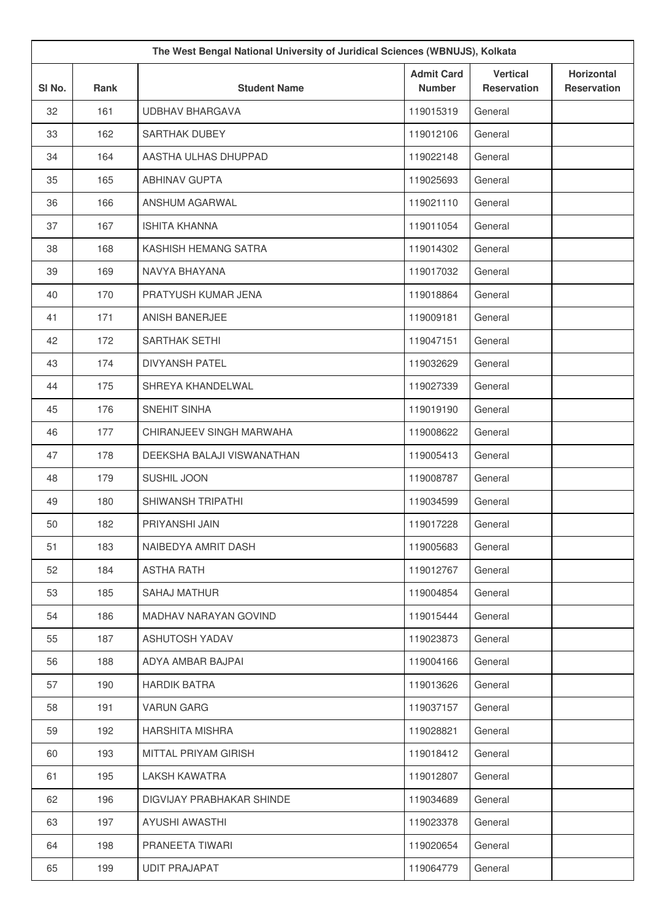| The West Bengal National University of Juridical Sciences (WBNUJS), Kolkata |      |                            |                                    |                                       |                                         |
|-----------------------------------------------------------------------------|------|----------------------------|------------------------------------|---------------------------------------|-----------------------------------------|
| SI No.                                                                      | Rank | <b>Student Name</b>        | <b>Admit Card</b><br><b>Number</b> | <b>Vertical</b><br><b>Reservation</b> | <b>Horizontal</b><br><b>Reservation</b> |
| 32                                                                          | 161  | <b>UDBHAV BHARGAVA</b>     | 119015319                          | General                               |                                         |
| 33                                                                          | 162  | <b>SARTHAK DUBEY</b>       | 119012106                          | General                               |                                         |
| 34                                                                          | 164  | AASTHA ULHAS DHUPPAD       | 119022148                          | General                               |                                         |
| 35                                                                          | 165  | <b>ABHINAV GUPTA</b>       | 119025693                          | General                               |                                         |
| 36                                                                          | 166  | ANSHUM AGARWAL             | 119021110                          | General                               |                                         |
| 37                                                                          | 167  | <b>ISHITA KHANNA</b>       | 119011054                          | General                               |                                         |
| 38                                                                          | 168  | KASHISH HEMANG SATRA       | 119014302                          | General                               |                                         |
| 39                                                                          | 169  | NAVYA BHAYANA              | 119017032                          | General                               |                                         |
| 40                                                                          | 170  | PRATYUSH KUMAR JENA        | 119018864                          | General                               |                                         |
| 41                                                                          | 171  | <b>ANISH BANERJEE</b>      | 119009181                          | General                               |                                         |
| 42                                                                          | 172  | SARTHAK SETHI              | 119047151                          | General                               |                                         |
| 43                                                                          | 174  | <b>DIVYANSH PATEL</b>      | 119032629                          | General                               |                                         |
| 44                                                                          | 175  | SHREYA KHANDELWAL          | 119027339                          | General                               |                                         |
| 45                                                                          | 176  | SNEHIT SINHA               | 119019190                          | General                               |                                         |
| 46                                                                          | 177  | CHIRANJEEV SINGH MARWAHA   | 119008622                          | General                               |                                         |
| 47                                                                          | 178  | DEEKSHA BALAJI VISWANATHAN | 119005413                          | General                               |                                         |
| 48                                                                          | 179  | SUSHIL JOON                | 119008787                          | General                               |                                         |
| 49                                                                          | 180  | SHIWANSH TRIPATHI          | 119034599                          | General                               |                                         |
| 50                                                                          | 182  | PRIYANSHI JAIN             | 119017228                          | General                               |                                         |
| 51                                                                          | 183  | NAIBEDYA AMRIT DASH        | 119005683                          | General                               |                                         |
| 52                                                                          | 184  | <b>ASTHA RATH</b>          | 119012767                          | General                               |                                         |
| 53                                                                          | 185  | <b>SAHAJ MATHUR</b>        | 119004854                          | General                               |                                         |
| 54                                                                          | 186  | MADHAV NARAYAN GOVIND      | 119015444                          | General                               |                                         |
| 55                                                                          | 187  | ASHUTOSH YADAV             | 119023873                          | General                               |                                         |
| 56                                                                          | 188  | ADYA AMBAR BAJPAI          | 119004166                          | General                               |                                         |
| 57                                                                          | 190  | <b>HARDIK BATRA</b>        | 119013626                          | General                               |                                         |
| 58                                                                          | 191  | <b>VARUN GARG</b>          | 119037157                          | General                               |                                         |
| 59                                                                          | 192  | <b>HARSHITA MISHRA</b>     | 119028821                          | General                               |                                         |
| 60                                                                          | 193  | MITTAL PRIYAM GIRISH       | 119018412                          | General                               |                                         |
| 61                                                                          | 195  | LAKSH KAWATRA              | 119012807                          | General                               |                                         |
| 62                                                                          | 196  | DIGVIJAY PRABHAKAR SHINDE  | 119034689                          | General                               |                                         |
| 63                                                                          | 197  | AYUSHI AWASTHI             | 119023378                          | General                               |                                         |
| 64                                                                          | 198  | PRANEETA TIWARI            | 119020654                          | General                               |                                         |
| 65                                                                          | 199  | <b>UDIT PRAJAPAT</b>       | 119064779                          | General                               |                                         |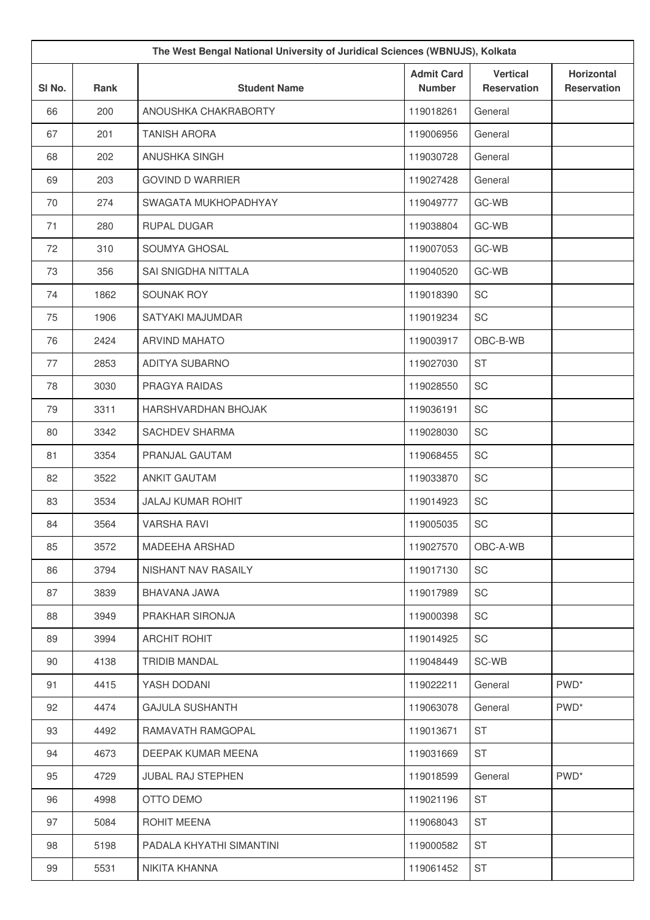| The West Bengal National University of Juridical Sciences (WBNUJS), Kolkata |             |                            |                                    |                                       |                                  |
|-----------------------------------------------------------------------------|-------------|----------------------------|------------------------------------|---------------------------------------|----------------------------------|
| SI No.                                                                      | <b>Rank</b> | <b>Student Name</b>        | <b>Admit Card</b><br><b>Number</b> | <b>Vertical</b><br><b>Reservation</b> | Horizontal<br><b>Reservation</b> |
| 66                                                                          | 200         | ANOUSHKA CHAKRABORTY       | 119018261                          | General                               |                                  |
| 67                                                                          | 201         | <b>TANISH ARORA</b>        | 119006956                          | General                               |                                  |
| 68                                                                          | 202         | ANUSHKA SINGH              | 119030728                          | General                               |                                  |
| 69                                                                          | 203         | <b>GOVIND D WARRIER</b>    | 119027428                          | General                               |                                  |
| 70                                                                          | 274         | SWAGATA MUKHOPADHYAY       | 119049777                          | GC-WB                                 |                                  |
| 71                                                                          | 280         | <b>RUPAL DUGAR</b>         | 119038804                          | GC-WB                                 |                                  |
| 72                                                                          | 310         | SOUMYA GHOSAL              | 119007053                          | GC-WB                                 |                                  |
| 73                                                                          | 356         | SAI SNIGDHA NITTALA        | 119040520                          | GC-WB                                 |                                  |
| 74                                                                          | 1862        | SOUNAK ROY                 | 119018390                          | SC                                    |                                  |
| 75                                                                          | 1906        | SATYAKI MAJUMDAR           | 119019234                          | <b>SC</b>                             |                                  |
| 76                                                                          | 2424        | <b>ARVIND MAHATO</b>       | 119003917                          | OBC-B-WB                              |                                  |
| 77                                                                          | 2853        | <b>ADITYA SUBARNO</b>      | 119027030                          | <b>ST</b>                             |                                  |
| 78                                                                          | 3030        | PRAGYA RAIDAS              | 119028550                          | SC                                    |                                  |
| 79                                                                          | 3311        | <b>HARSHVARDHAN BHOJAK</b> | 119036191                          | SC                                    |                                  |
| 80                                                                          | 3342        | SACHDEV SHARMA             | 119028030                          | SC                                    |                                  |
| 81                                                                          | 3354        | PRANJAL GAUTAM             | 119068455                          | SC                                    |                                  |
| 82                                                                          | 3522        | <b>ANKIT GAUTAM</b>        | 119033870                          | SC                                    |                                  |
| 83                                                                          | 3534        | <b>JALAJ KUMAR ROHIT</b>   | 119014923                          | SC                                    |                                  |
| 84                                                                          | 3564        | <b>VARSHA RAVI</b>         | 119005035                          | SC                                    |                                  |
| 85                                                                          | 3572        | MADEEHA ARSHAD             | 119027570                          | OBC-A-WB                              |                                  |
| 86                                                                          | 3794        | NISHANT NAV RASAILY        | 119017130                          | SC                                    |                                  |
| 87                                                                          | 3839        | BHAVANA JAWA               | 119017989                          | SC                                    |                                  |
| 88                                                                          | 3949        | PRAKHAR SIRONJA            | 119000398                          | SC                                    |                                  |
| 89                                                                          | 3994        | <b>ARCHIT ROHIT</b>        | 119014925                          | SC                                    |                                  |
| 90                                                                          | 4138        | <b>TRIDIB MANDAL</b>       | 119048449                          | SC-WB                                 |                                  |
| 91                                                                          | 4415        | YASH DODANI                | 119022211                          | General                               | PWD <sup>*</sup>                 |
| 92                                                                          | 4474        | <b>GAJULA SUSHANTH</b>     | 119063078                          | General                               | PWD <sup>*</sup>                 |
| 93                                                                          | 4492        | RAMAVATH RAMGOPAL          | 119013671                          | <b>ST</b>                             |                                  |
| 94                                                                          | 4673        | DEEPAK KUMAR MEENA         | 119031669                          | <b>ST</b>                             |                                  |
| 95                                                                          | 4729        | <b>JUBAL RAJ STEPHEN</b>   | 119018599                          | General                               | PWD <sup>*</sup>                 |
| 96                                                                          | 4998        | OTTO DEMO                  | 119021196                          | <b>ST</b>                             |                                  |
| 97                                                                          | 5084        | ROHIT MEENA                | 119068043                          | <b>ST</b>                             |                                  |
| 98                                                                          | 5198        | PADALA KHYATHI SIMANTINI   | 119000582                          | <b>ST</b>                             |                                  |
| 99                                                                          | 5531        | NIKITA KHANNA              | 119061452                          | ST                                    |                                  |